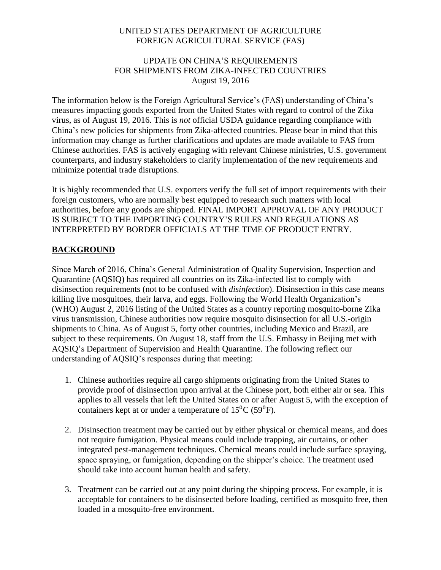# UNITED STATES DEPARTMENT OF AGRICULTURE FOREIGN AGRICULTURAL SERVICE (FAS)

#### UPDATE ON CHINA'S REQUIREMENTS FOR SHIPMENTS FROM ZIKA-INFECTED COUNTRIES August 19, 2016

The information below is the Foreign Agricultural Service's (FAS) understanding of China's measures impacting goods exported from the United States with regard to control of the Zika virus, as of August 19, 2016. This is *not* official USDA guidance regarding compliance with China's new policies for shipments from Zika-affected countries. Please bear in mind that this information may change as further clarifications and updates are made available to FAS from Chinese authorities. FAS is actively engaging with relevant Chinese ministries, U.S. government counterparts, and industry stakeholders to clarify implementation of the new requirements and minimize potential trade disruptions.

It is highly recommended that U.S. exporters verify the full set of import requirements with their foreign customers, who are normally best equipped to research such matters with local authorities, before any goods are shipped. FINAL IMPORT APPROVAL OF ANY PRODUCT IS SUBJECT TO THE IMPORTING COUNTRY'S RULES AND REGULATIONS AS INTERPRETED BY BORDER OFFICIALS AT THE TIME OF PRODUCT ENTRY.

# **BACKGROUND**

Since March of 2016, China's General Administration of Quality Supervision, Inspection and Quarantine (AQSIQ) has required all countries on its Zika-infected list to comply with disinsection requirements (not to be confused with *disinfection*). Disinsection in this case means killing live mosquitoes, their larva, and eggs. Following the World Health Organization's (WHO) August 2, 2016 listing of the United States as a country reporting mosquito-borne Zika virus transmission, Chinese authorities now require mosquito disinsection for all U.S.-origin shipments to China. As of August 5, forty other countries, including Mexico and Brazil, are subject to these requirements. On August 18, staff from the U.S. Embassy in Beijing met with AQSIQ's Department of Supervision and Health Quarantine. The following reflect our understanding of AQSIQ's responses during that meeting:

- 1. Chinese authorities require all cargo shipments originating from the United States to provide proof of disinsection upon arrival at the Chinese port, both either air or sea. This applies to all vessels that left the United States on or after August 5, with the exception of containers kept at or under a temperature of  $15^{0}C$  (59<sup>0</sup>F).
- 2. Disinsection treatment may be carried out by either physical or chemical means, and does not require fumigation. Physical means could include trapping, air curtains, or other integrated pest-management techniques. Chemical means could include surface spraying, space spraying, or fumigation, depending on the shipper's choice. The treatment used should take into account human health and safety.
- 3. Treatment can be carried out at any point during the shipping process. For example, it is acceptable for containers to be disinsected before loading, certified as mosquito free, then loaded in a mosquito-free environment.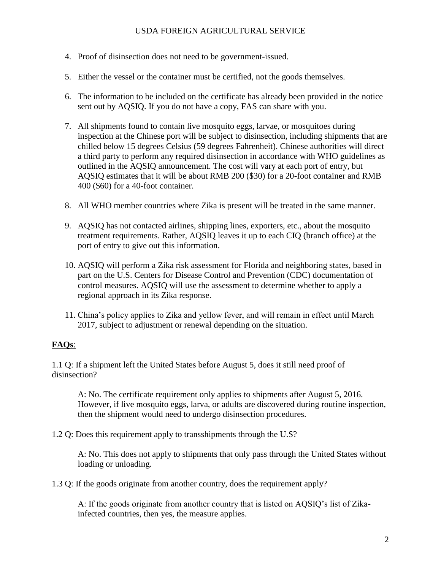- 4. Proof of disinsection does not need to be government-issued.
- 5. Either the vessel or the container must be certified, not the goods themselves.
- 6. The information to be included on the certificate has already been provided in the notice sent out by AQSIQ. If you do not have a copy, FAS can share with you.
- 7. All shipments found to contain live mosquito eggs, larvae, or mosquitoes during inspection at the Chinese port will be subject to disinsection, including shipments that are chilled below 15 degrees Celsius (59 degrees Fahrenheit). Chinese authorities will direct a third party to perform any required disinsection in accordance with WHO guidelines as outlined in the AQSIQ announcement. The cost will vary at each port of entry, but AQSIQ estimates that it will be about RMB 200 (\$30) for a 20-foot container and RMB 400 (\$60) for a 40-foot container.
- 8. All WHO member countries where Zika is present will be treated in the same manner.
- 9. AQSIQ has not contacted airlines, shipping lines, exporters, etc., about the mosquito treatment requirements. Rather, AQSIQ leaves it up to each CIQ (branch office) at the port of entry to give out this information.
- 10. AQSIQ will perform a Zika risk assessment for Florida and neighboring states, based in part on the U.S. Centers for Disease Control and Prevention (CDC) documentation of control measures. AQSIQ will use the assessment to determine whether to apply a regional approach in its Zika response.
- 11. China's policy applies to Zika and yellow fever, and will remain in effect until March 2017, subject to adjustment or renewal depending on the situation.

# **FAQs**:

1.1 Q: If a shipment left the United States before August 5, does it still need proof of disinsection?

A: No. The certificate requirement only applies to shipments after August 5, 2016. However, if live mosquito eggs, larva, or adults are discovered during routine inspection, then the shipment would need to undergo disinsection procedures.

1.2 Q: Does this requirement apply to transshipments through the U.S?

A: No. This does not apply to shipments that only pass through the United States without loading or unloading.

1.3 Q: If the goods originate from another country, does the requirement apply?

A: If the goods originate from another country that is listed on AQSIQ's list of Zikainfected countries, then yes, the measure applies.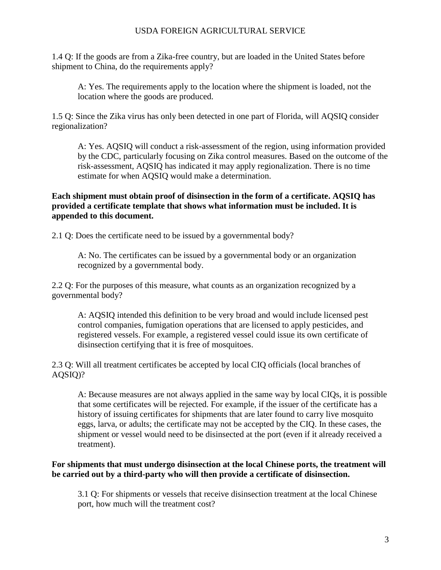1.4 Q: If the goods are from a Zika-free country, but are loaded in the United States before shipment to China, do the requirements apply?

A: Yes. The requirements apply to the location where the shipment is loaded, not the location where the goods are produced.

1.5 Q: Since the Zika virus has only been detected in one part of Florida, will AQSIQ consider regionalization?

A: Yes. AQSIQ will conduct a risk-assessment of the region, using information provided by the CDC, particularly focusing on Zika control measures. Based on the outcome of the risk-assessment, AQSIQ has indicated it may apply regionalization. There is no time estimate for when AQSIQ would make a determination.

**Each shipment must obtain proof of disinsection in the form of a certificate. AQSIQ has provided a certificate template that shows what information must be included. It is appended to this document.**

2.1 Q: Does the certificate need to be issued by a governmental body?

A: No. The certificates can be issued by a governmental body or an organization recognized by a governmental body.

2.2 Q: For the purposes of this measure, what counts as an organization recognized by a governmental body?

A: AQSIQ intended this definition to be very broad and would include licensed pest control companies, fumigation operations that are licensed to apply pesticides, and registered vessels. For example, a registered vessel could issue its own certificate of disinsection certifying that it is free of mosquitoes.

2.3 Q: Will all treatment certificates be accepted by local CIQ officials (local branches of AQSIQ)?

A: Because measures are not always applied in the same way by local CIQs, it is possible that some certificates will be rejected. For example, if the issuer of the certificate has a history of issuing certificates for shipments that are later found to carry live mosquito eggs, larva, or adults; the certificate may not be accepted by the CIQ. In these cases, the shipment or vessel would need to be disinsected at the port (even if it already received a treatment).

## **For shipments that must undergo disinsection at the local Chinese ports, the treatment will be carried out by a third-party who will then provide a certificate of disinsection.**

3.1 Q: For shipments or vessels that receive disinsection treatment at the local Chinese port, how much will the treatment cost?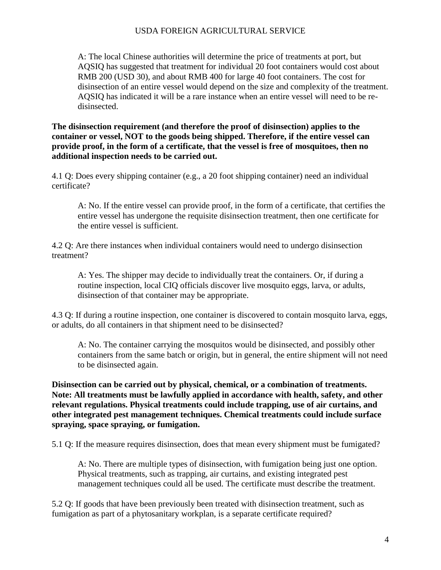A: The local Chinese authorities will determine the price of treatments at port, but AQSIQ has suggested that treatment for individual 20 foot containers would cost about RMB 200 (USD 30), and about RMB 400 for large 40 foot containers. The cost for disinsection of an entire vessel would depend on the size and complexity of the treatment. AQSIQ has indicated it will be a rare instance when an entire vessel will need to be redisinsected.

**The disinsection requirement (and therefore the proof of disinsection) applies to the container or vessel, NOT to the goods being shipped. Therefore, if the entire vessel can provide proof, in the form of a certificate, that the vessel is free of mosquitoes, then no additional inspection needs to be carried out.**

4.1 Q: Does every shipping container (e.g., a 20 foot shipping container) need an individual certificate?

A: No. If the entire vessel can provide proof, in the form of a certificate, that certifies the entire vessel has undergone the requisite disinsection treatment, then one certificate for the entire vessel is sufficient.

4.2 Q: Are there instances when individual containers would need to undergo disinsection treatment?

A: Yes. The shipper may decide to individually treat the containers. Or, if during a routine inspection, local CIQ officials discover live mosquito eggs, larva, or adults, disinsection of that container may be appropriate.

4.3 Q: If during a routine inspection, one container is discovered to contain mosquito larva, eggs, or adults, do all containers in that shipment need to be disinsected?

A: No. The container carrying the mosquitos would be disinsected, and possibly other containers from the same batch or origin, but in general, the entire shipment will not need to be disinsected again.

**Disinsection can be carried out by physical, chemical, or a combination of treatments. Note: All treatments must be lawfully applied in accordance with health, safety, and other relevant regulations. Physical treatments could include trapping, use of air curtains, and other integrated pest management techniques. Chemical treatments could include surface spraying, space spraying, or fumigation.**

5.1 Q: If the measure requires disinsection, does that mean every shipment must be fumigated?

A: No. There are multiple types of disinsection, with fumigation being just one option. Physical treatments, such as trapping, air curtains, and existing integrated pest management techniques could all be used. The certificate must describe the treatment.

5.2 Q: If goods that have been previously been treated with disinsection treatment, such as fumigation as part of a phytosanitary workplan, is a separate certificate required?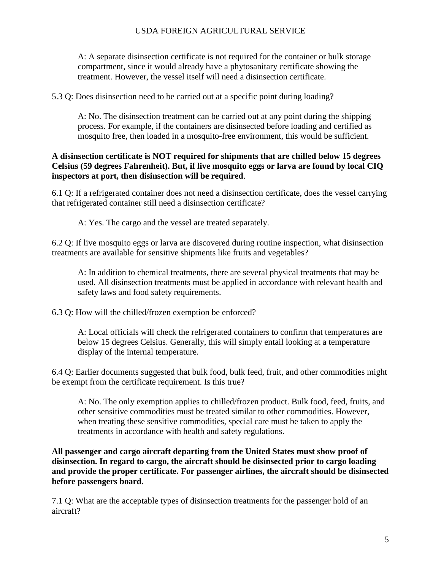A: A separate disinsection certificate is not required for the container or bulk storage compartment, since it would already have a phytosanitary certificate showing the treatment. However, the vessel itself will need a disinsection certificate.

5.3 Q: Does disinsection need to be carried out at a specific point during loading?

A: No. The disinsection treatment can be carried out at any point during the shipping process. For example, if the containers are disinsected before loading and certified as mosquito free, then loaded in a mosquito-free environment, this would be sufficient.

#### **A disinsection certificate is NOT required for shipments that are chilled below 15 degrees Celsius (59 degrees Fahrenheit). But, if live mosquito eggs or larva are found by local CIQ inspectors at port, then disinsection will be required**.

6.1 Q: If a refrigerated container does not need a disinsection certificate, does the vessel carrying that refrigerated container still need a disinsection certificate?

A: Yes. The cargo and the vessel are treated separately.

6.2 Q: If live mosquito eggs or larva are discovered during routine inspection, what disinsection treatments are available for sensitive shipments like fruits and vegetables?

A: In addition to chemical treatments, there are several physical treatments that may be used. All disinsection treatments must be applied in accordance with relevant health and safety laws and food safety requirements.

6.3 Q: How will the chilled/frozen exemption be enforced?

A: Local officials will check the refrigerated containers to confirm that temperatures are below 15 degrees Celsius. Generally, this will simply entail looking at a temperature display of the internal temperature.

6.4 Q: Earlier documents suggested that bulk food, bulk feed, fruit, and other commodities might be exempt from the certificate requirement. Is this true?

A: No. The only exemption applies to chilled/frozen product. Bulk food, feed, fruits, and other sensitive commodities must be treated similar to other commodities. However, when treating these sensitive commodities, special care must be taken to apply the treatments in accordance with health and safety regulations.

**All passenger and cargo aircraft departing from the United States must show proof of disinsection. In regard to cargo, the aircraft should be disinsected prior to cargo loading and provide the proper certificate. For passenger airlines, the aircraft should be disinsected before passengers board.**

7.1 Q: What are the acceptable types of disinsection treatments for the passenger hold of an aircraft?